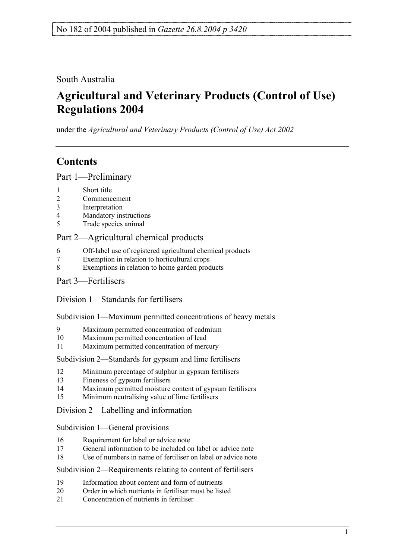South Australia

# **Agricultural and Veterinary Products (Control of Use) Regulations 2004**

under the *Agricultural and Veterinary Products (Control of Use) Act 2002*

## **Contents**

Part 1—Preliminary

- 1 Short title
- 2 Commencement
- 3 Interpretation
- 4 Mandatory instructions
- 5 Trade species animal

### Part 2—Agricultural chemical products

- 6 Off-label use of registered agricultural chemical products
- 7 Exemption in relation to horticultural crops
- 8 Exemptions in relation to home garden products
- Part 3—Fertilisers

Division 1—Standards for fertilisers

Subdivision 1—Maximum permitted concentrations of heavy metals

- 9 Maximum permitted concentration of cadmium
- 10 Maximum permitted concentration of lead
- 11 Maximum permitted concentration of mercury

Subdivision 2—Standards for gypsum and lime fertilisers

- 12 Minimum percentage of sulphur in gypsum fertilisers
- 13 Fineness of gypsum fertilisers
- 14 Maximum permitted moisture content of gypsum fertilisers
- 15 Minimum neutralising value of lime fertilisers

Division 2—Labelling and information

Subdivision 1—General provisions

- 16 Requirement for label or advice note
- 17 General information to be included on label or advice note
- 18 Use of numbers in name of fertiliser on label or advice note

Subdivision 2—Requirements relating to content of fertilisers

- 19 Information about content and form of nutrients
- 20 Order in which nutrients in fertiliser must be listed
- 21 Concentration of nutrients in fertiliser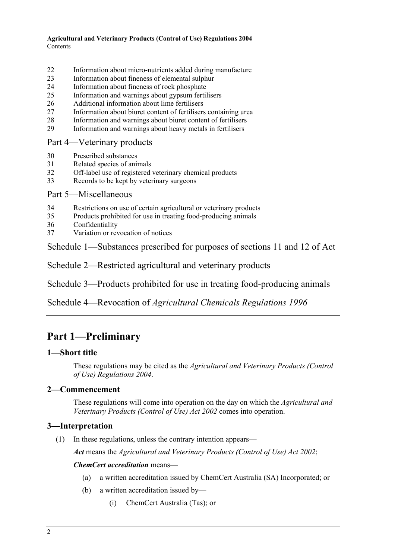- 22 Information about micro-nutrients added during manufacture
- 23 Information about fineness of elemental sulphur
- 24 Information about fineness of rock phosphate
- 25 Information and warnings about gypsum fertilisers
- 26 Additional information about lime fertilisers
- 27 Information about biuret content of fertilisers containing urea
- 28 Information and warnings about biuret content of fertilisers
- 29 Information and warnings about heavy metals in fertilisers

### Part 4—Veterinary products

- 30 Prescribed substances
- 31 Related species of animals
- 32 Off-label use of registered veterinary chemical products
- 33 Records to be kept by veterinary surgeons

### Part 5—Miscellaneous

- 34 Restrictions on use of certain agricultural or veterinary products
- 35 Products prohibited for use in treating food-producing animals
- 36 Confidentiality
- 37 Variation or revocation of notices

Schedule 1—Substances prescribed for purposes of sections 11 and 12 of Act

Schedule 2—Restricted agricultural and veterinary products

Schedule 3—Products prohibited for use in treating food-producing animals

Schedule 4—Revocation of *Agricultural Chemicals Regulations 1996*

## **Part 1—Preliminary**

### **1—Short title**

These regulations may be cited as the *Agricultural and Veterinary Products (Control of Use) Regulations 2004*.

### **2—Commencement**

These regulations will come into operation on the day on which the *Agricultural and Veterinary Products (Control of Use) Act 2002* comes into operation.

### **3—Interpretation**

(1) In these regulations, unless the contrary intention appears—

*Act* means the *Agricultural and Veterinary Products (Control of Use) Act 2002*;

#### *ChemCert accreditation* means—

- (a) a written accreditation issued by ChemCert Australia (SA) Incorporated; or
- (b) a written accreditation issued by—
	- (i) ChemCert Australia (Tas); or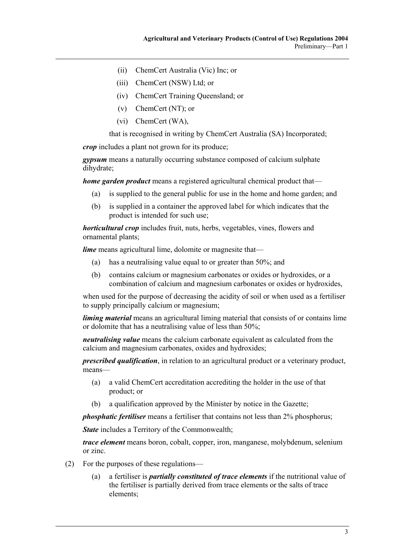- (ii) ChemCert Australia (Vic) Inc; or
- (iii) ChemCert (NSW) Ltd; or
- (iv) ChemCert Training Queensland; or
- (v) ChemCert (NT); or
- (vi) ChemCert (WA),

that is recognised in writing by ChemCert Australia (SA) Incorporated;

*crop* includes a plant not grown for its produce;

*gypsum* means a naturally occurring substance composed of calcium sulphate dihydrate;

*home garden product* means a registered agricultural chemical product that—

- (a) is supplied to the general public for use in the home and home garden; and
- (b) is supplied in a container the approved label for which indicates that the product is intended for such use;

*horticultural crop* includes fruit, nuts, herbs, vegetables, vines, flowers and ornamental plants;

*lime* means agricultural lime, dolomite or magnesite that—

- (a) has a neutralising value equal to or greater than 50%; and
- (b) contains calcium or magnesium carbonates or oxides or hydroxides, or a combination of calcium and magnesium carbonates or oxides or hydroxides,

when used for the purpose of decreasing the acidity of soil or when used as a fertiliser to supply principally calcium or magnesium;

*liming material* means an agricultural liming material that consists of or contains lime or dolomite that has a neutralising value of less than 50%;

*neutralising value* means the calcium carbonate equivalent as calculated from the calcium and magnesium carbonates, oxides and hydroxides;

*prescribed qualification*, in relation to an agricultural product or a veterinary product, means—

- (a) a valid ChemCert accreditation accrediting the holder in the use of that product; or
- (b) a qualification approved by the Minister by notice in the Gazette;

*phosphatic fertiliser* means a fertiliser that contains not less than 2% phosphorus;

*State* includes a Territory of the Commonwealth:

*trace element* means boron, cobalt, copper, iron, manganese, molybdenum, selenium or zinc.

- (2) For the purposes of these regulations—
	- (a) a fertiliser is *partially constituted of trace elements* if the nutritional value of the fertiliser is partially derived from trace elements or the salts of trace elements;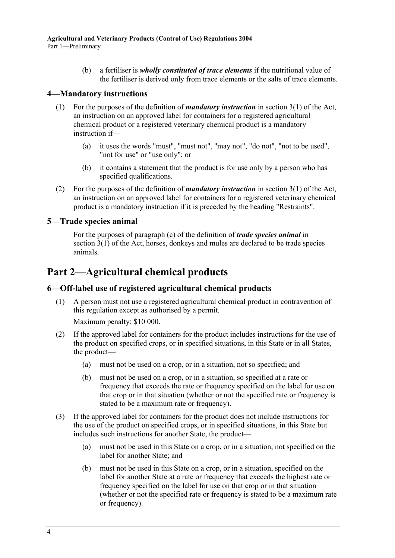(b) a fertiliser is *wholly constituted of trace elements* if the nutritional value of the fertiliser is derived only from trace elements or the salts of trace elements.

### **4—Mandatory instructions**

- (1) For the purposes of the definition of *mandatory instruction* in section 3(1) of the Act, an instruction on an approved label for containers for a registered agricultural chemical product or a registered veterinary chemical product is a mandatory instruction if—
	- (a) it uses the words "must", "must not", "may not", "do not", "not to be used", "not for use" or "use only"; or
	- (b) it contains a statement that the product is for use only by a person who has specified qualifications.
- (2) For the purposes of the definition of *mandatory instruction* in section 3(1) of the Act, an instruction on an approved label for containers for a registered veterinary chemical product is a mandatory instruction if it is preceded by the heading "Restraints".

### **5—Trade species animal**

For the purposes of paragraph (c) of the definition of *trade species animal* in section 3(1) of the Act, horses, donkeys and mules are declared to be trade species animals.

## **Part 2—Agricultural chemical products**

### **6—Off-label use of registered agricultural chemical products**

 (1) A person must not use a registered agricultural chemical product in contravention of this regulation except as authorised by a permit.

Maximum penalty: \$10 000.

- (2) If the approved label for containers for the product includes instructions for the use of the product on specified crops, or in specified situations, in this State or in all States, the product—
	- (a) must not be used on a crop, or in a situation, not so specified; and
	- (b) must not be used on a crop, or in a situation, so specified at a rate or frequency that exceeds the rate or frequency specified on the label for use on that crop or in that situation (whether or not the specified rate or frequency is stated to be a maximum rate or frequency).
- (3) If the approved label for containers for the product does not include instructions for the use of the product on specified crops, or in specified situations, in this State but includes such instructions for another State, the product—
	- (a) must not be used in this State on a crop, or in a situation, not specified on the label for another State; and
	- (b) must not be used in this State on a crop, or in a situation, specified on the label for another State at a rate or frequency that exceeds the highest rate or frequency specified on the label for use on that crop or in that situation (whether or not the specified rate or frequency is stated to be a maximum rate or frequency).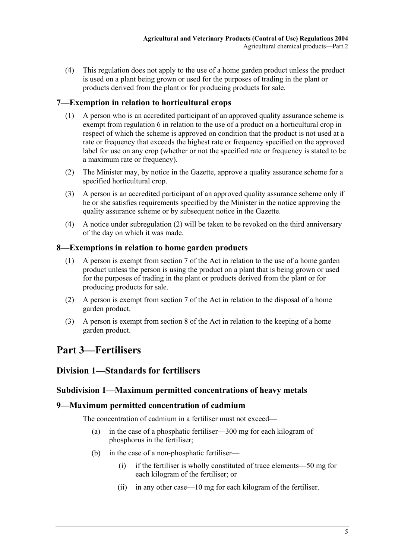(4) This regulation does not apply to the use of a home garden product unless the product is used on a plant being grown or used for the purposes of trading in the plant or products derived from the plant or for producing products for sale.

### **7—Exemption in relation to horticultural crops**

- (1) A person who is an accredited participant of an approved quality assurance scheme is exempt from regulation 6 in relation to the use of a product on a horticultural crop in respect of which the scheme is approved on condition that the product is not used at a rate or frequency that exceeds the highest rate or frequency specified on the approved label for use on any crop (whether or not the specified rate or frequency is stated to be a maximum rate or frequency).
- (2) The Minister may, by notice in the Gazette, approve a quality assurance scheme for a specified horticultural crop.
- (3) A person is an accredited participant of an approved quality assurance scheme only if he or she satisfies requirements specified by the Minister in the notice approving the quality assurance scheme or by subsequent notice in the Gazette.
- (4) A notice under subregulation (2) will be taken to be revoked on the third anniversary of the day on which it was made.

### **8—Exemptions in relation to home garden products**

- (1) A person is exempt from section 7 of the Act in relation to the use of a home garden product unless the person is using the product on a plant that is being grown or used for the purposes of trading in the plant or products derived from the plant or for producing products for sale.
- (2) A person is exempt from section 7 of the Act in relation to the disposal of a home garden product.
- (3) A person is exempt from section 8 of the Act in relation to the keeping of a home garden product.

## **Part 3—Fertilisers**

### **Division 1—Standards for fertilisers**

### **Subdivision 1—Maximum permitted concentrations of heavy metals**

#### **9—Maximum permitted concentration of cadmium**

The concentration of cadmium in a fertiliser must not exceed—

- (a) in the case of a phosphatic fertiliser—300 mg for each kilogram of phosphorus in the fertiliser;
- (b) in the case of a non-phosphatic fertiliser—
	- (i) if the fertiliser is wholly constituted of trace elements—50 mg for each kilogram of the fertiliser; or
	- (ii) in any other case—10 mg for each kilogram of the fertiliser.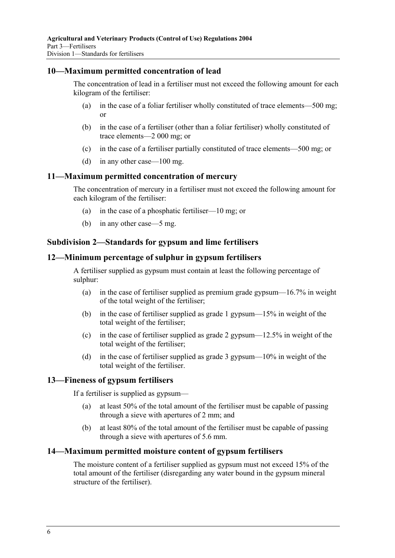### **10—Maximum permitted concentration of lead**

The concentration of lead in a fertiliser must not exceed the following amount for each kilogram of the fertiliser:

- (a) in the case of a foliar fertiliser wholly constituted of trace elements—500 mg; or
- (b) in the case of a fertiliser (other than a foliar fertiliser) wholly constituted of trace elements—2 000 mg; or
- (c) in the case of a fertiliser partially constituted of trace elements—500 mg; or
- (d) in any other case—100 mg.

#### **11—Maximum permitted concentration of mercury**

The concentration of mercury in a fertiliser must not exceed the following amount for each kilogram of the fertiliser:

- (a) in the case of a phosphatic fertiliser—10 mg; or
- (b) in any other case—5 mg.

### **Subdivision 2—Standards for gypsum and lime fertilisers**

#### **12—Minimum percentage of sulphur in gypsum fertilisers**

A fertiliser supplied as gypsum must contain at least the following percentage of sulphur:

- (a) in the case of fertiliser supplied as premium grade gypsum—16.7% in weight of the total weight of the fertiliser;
- (b) in the case of fertiliser supplied as grade 1 gypsum—15% in weight of the total weight of the fertiliser;
- (c) in the case of fertiliser supplied as grade 2 gypsum—12.5% in weight of the total weight of the fertiliser;
- (d) in the case of fertiliser supplied as grade 3 gypsum—10% in weight of the total weight of the fertiliser.

#### **13—Fineness of gypsum fertilisers**

If a fertiliser is supplied as gypsum—

- (a) at least 50% of the total amount of the fertiliser must be capable of passing through a sieve with apertures of 2 mm; and
- (b) at least 80% of the total amount of the fertiliser must be capable of passing through a sieve with apertures of 5.6 mm.

#### **14—Maximum permitted moisture content of gypsum fertilisers**

The moisture content of a fertiliser supplied as gypsum must not exceed 15% of the total amount of the fertiliser (disregarding any water bound in the gypsum mineral structure of the fertiliser).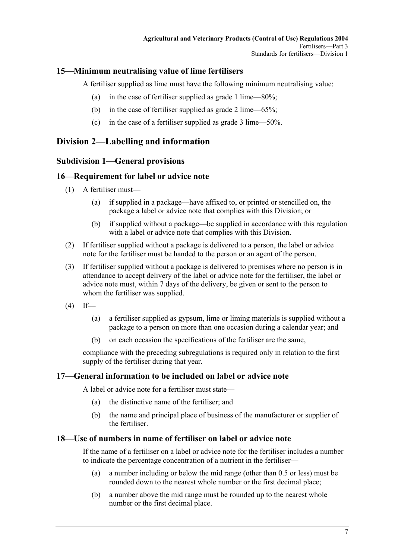### **15—Minimum neutralising value of lime fertilisers**

A fertiliser supplied as lime must have the following minimum neutralising value:

- (a) in the case of fertiliser supplied as grade 1 lime—80%;
- (b) in the case of fertiliser supplied as grade 2 lime—65%;
- (c) in the case of a fertiliser supplied as grade 3 lime—50%.

### **Division 2—Labelling and information**

### **Subdivision 1—General provisions**

### **16—Requirement for label or advice note**

- (1) A fertiliser must—
	- (a) if supplied in a package—have affixed to, or printed or stencilled on, the package a label or advice note that complies with this Division; or
	- (b) if supplied without a package—be supplied in accordance with this regulation with a label or advice note that complies with this Division.
- (2) If fertiliser supplied without a package is delivered to a person, the label or advice note for the fertiliser must be handed to the person or an agent of the person.
- (3) If fertiliser supplied without a package is delivered to premises where no person is in attendance to accept delivery of the label or advice note for the fertiliser, the label or advice note must, within 7 days of the delivery, be given or sent to the person to whom the fertiliser was supplied.
- $(4)$  If—
	- (a) a fertiliser supplied as gypsum, lime or liming materials is supplied without a package to a person on more than one occasion during a calendar year; and
	- (b) on each occasion the specifications of the fertiliser are the same,

compliance with the preceding subregulations is required only in relation to the first supply of the fertiliser during that year.

### **17—General information to be included on label or advice note**

A label or advice note for a fertiliser must state—

- (a) the distinctive name of the fertiliser; and
- (b) the name and principal place of business of the manufacturer or supplier of the fertiliser.

#### **18—Use of numbers in name of fertiliser on label or advice note**

If the name of a fertiliser on a label or advice note for the fertiliser includes a number to indicate the percentage concentration of a nutrient in the fertiliser—

- (a) a number including or below the mid range (other than 0.5 or less) must be rounded down to the nearest whole number or the first decimal place;
- (b) a number above the mid range must be rounded up to the nearest whole number or the first decimal place.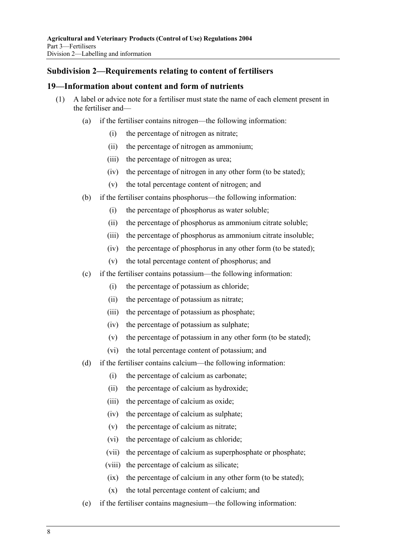### **Subdivision 2—Requirements relating to content of fertilisers**

#### **19—Information about content and form of nutrients**

- (1) A label or advice note for a fertiliser must state the name of each element present in the fertiliser and—
	- (a) if the fertiliser contains nitrogen—the following information:
		- (i) the percentage of nitrogen as nitrate;
		- (ii) the percentage of nitrogen as ammonium;
		- (iii) the percentage of nitrogen as urea;
		- (iv) the percentage of nitrogen in any other form (to be stated);
		- (v) the total percentage content of nitrogen; and
	- (b) if the fertiliser contains phosphorus—the following information:
		- (i) the percentage of phosphorus as water soluble;
		- (ii) the percentage of phosphorus as ammonium citrate soluble;
		- (iii) the percentage of phosphorus as ammonium citrate insoluble;
		- (iv) the percentage of phosphorus in any other form (to be stated);
		- (v) the total percentage content of phosphorus; and
	- (c) if the fertiliser contains potassium—the following information:
		- (i) the percentage of potassium as chloride;
		- (ii) the percentage of potassium as nitrate;
		- (iii) the percentage of potassium as phosphate;
		- (iv) the percentage of potassium as sulphate;
		- (v) the percentage of potassium in any other form (to be stated);
		- (vi) the total percentage content of potassium; and
	- (d) if the fertiliser contains calcium—the following information:
		- (i) the percentage of calcium as carbonate;
		- (ii) the percentage of calcium as hydroxide;
		- (iii) the percentage of calcium as oxide;
		- (iv) the percentage of calcium as sulphate;
		- (v) the percentage of calcium as nitrate;
		- (vi) the percentage of calcium as chloride;
		- (vii) the percentage of calcium as superphosphate or phosphate;
		- (viii) the percentage of calcium as silicate;
		- (ix) the percentage of calcium in any other form (to be stated);
		- (x) the total percentage content of calcium; and
	- (e) if the fertiliser contains magnesium—the following information: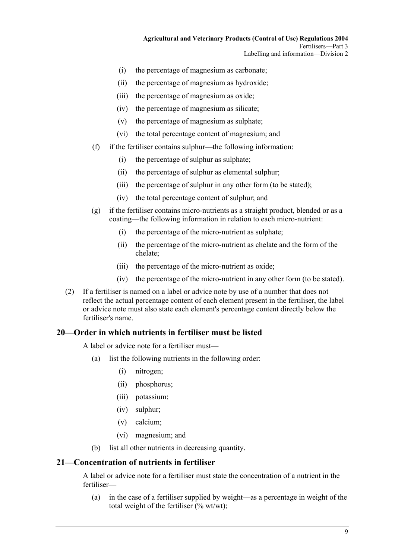- (i) the percentage of magnesium as carbonate;
- (ii) the percentage of magnesium as hydroxide;
- (iii) the percentage of magnesium as oxide;
- (iv) the percentage of magnesium as silicate;
- (v) the percentage of magnesium as sulphate;
- (vi) the total percentage content of magnesium; and
- (f) if the fertiliser contains sulphur—the following information:
	- (i) the percentage of sulphur as sulphate;
	- (ii) the percentage of sulphur as elemental sulphur;
	- (iii) the percentage of sulphur in any other form (to be stated);
	- (iv) the total percentage content of sulphur; and
- (g) if the fertiliser contains micro-nutrients as a straight product, blended or as a coating—the following information in relation to each micro-nutrient:
	- (i) the percentage of the micro-nutrient as sulphate;
	- (ii) the percentage of the micro-nutrient as chelate and the form of the chelate;
	- (iii) the percentage of the micro-nutrient as oxide;
	- (iv) the percentage of the micro-nutrient in any other form (to be stated).
- (2) If a fertiliser is named on a label or advice note by use of a number that does not reflect the actual percentage content of each element present in the fertiliser, the label or advice note must also state each element's percentage content directly below the fertiliser's name.

### **20—Order in which nutrients in fertiliser must be listed**

A label or advice note for a fertiliser must—

- (a) list the following nutrients in the following order:
	- (i) nitrogen;
	- (ii) phosphorus;
	- (iii) potassium;
	- (iv) sulphur;
	- (v) calcium;
	- (vi) magnesium; and
- (b) list all other nutrients in decreasing quantity.

### **21—Concentration of nutrients in fertiliser**

A label or advice note for a fertiliser must state the concentration of a nutrient in the fertiliser—

 (a) in the case of a fertiliser supplied by weight—as a percentage in weight of the total weight of the fertiliser  $(\%$  wt/wt);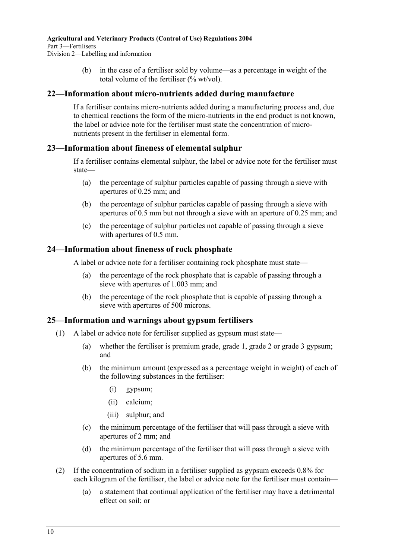(b) in the case of a fertiliser sold by volume—as a percentage in weight of the total volume of the fertiliser  $\frac{0}{0}$  wt/vol).

### **22—Information about micro-nutrients added during manufacture**

If a fertiliser contains micro-nutrients added during a manufacturing process and, due to chemical reactions the form of the micro-nutrients in the end product is not known, the label or advice note for the fertiliser must state the concentration of micronutrients present in the fertiliser in elemental form.

### **23—Information about fineness of elemental sulphur**

If a fertiliser contains elemental sulphur, the label or advice note for the fertiliser must state—

- (a) the percentage of sulphur particles capable of passing through a sieve with apertures of 0.25 mm; and
- (b) the percentage of sulphur particles capable of passing through a sieve with apertures of 0.5 mm but not through a sieve with an aperture of 0.25 mm; and
- (c) the percentage of sulphur particles not capable of passing through a sieve with apertures of 0.5 mm.

### **24—Information about fineness of rock phosphate**

A label or advice note for a fertiliser containing rock phosphate must state—

- (a) the percentage of the rock phosphate that is capable of passing through a sieve with apertures of 1.003 mm; and
- (b) the percentage of the rock phosphate that is capable of passing through a sieve with apertures of 500 microns.

### **25—Information and warnings about gypsum fertilisers**

- (1) A label or advice note for fertiliser supplied as gypsum must state—
	- (a) whether the fertiliser is premium grade, grade 1, grade 2 or grade 3 gypsum; and
	- (b) the minimum amount (expressed as a percentage weight in weight) of each of the following substances in the fertiliser:
		- (i) gypsum;
		- (ii) calcium;
		- (iii) sulphur; and
	- (c) the minimum percentage of the fertiliser that will pass through a sieve with apertures of 2 mm; and
	- (d) the minimum percentage of the fertiliser that will pass through a sieve with apertures of 5.6 mm.
- (2) If the concentration of sodium in a fertiliser supplied as gypsum exceeds 0.8% for each kilogram of the fertiliser, the label or advice note for the fertiliser must contain—
	- (a) a statement that continual application of the fertiliser may have a detrimental effect on soil; or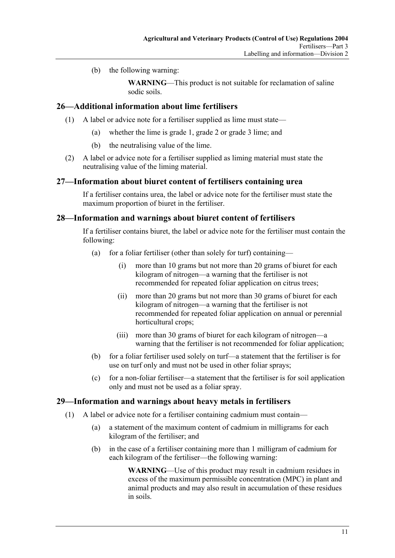(b) the following warning:

**WARNING**—This product is not suitable for reclamation of saline sodic soils.

### **26—Additional information about lime fertilisers**

- (1) A label or advice note for a fertiliser supplied as lime must state—
	- (a) whether the lime is grade 1, grade 2 or grade 3 lime; and
	- (b) the neutralising value of the lime.
- (2) A label or advice note for a fertiliser supplied as liming material must state the neutralising value of the liming material.

### **27—Information about biuret content of fertilisers containing urea**

If a fertiliser contains urea, the label or advice note for the fertiliser must state the maximum proportion of biuret in the fertiliser.

### **28—Information and warnings about biuret content of fertilisers**

If a fertiliser contains biuret, the label or advice note for the fertiliser must contain the following:

- (a) for a foliar fertiliser (other than solely for turf) containing—
	- (i) more than 10 grams but not more than 20 grams of biuret for each kilogram of nitrogen—a warning that the fertiliser is not recommended for repeated foliar application on citrus trees;
	- (ii) more than 20 grams but not more than 30 grams of biuret for each kilogram of nitrogen—a warning that the fertiliser is not recommended for repeated foliar application on annual or perennial horticultural crops;
	- (iii) more than 30 grams of biuret for each kilogram of nitrogen—a warning that the fertiliser is not recommended for foliar application;
- (b) for a foliar fertiliser used solely on turf—a statement that the fertiliser is for use on turf only and must not be used in other foliar sprays;
- (c) for a non-foliar fertiliser—a statement that the fertiliser is for soil application only and must not be used as a foliar spray.

### **29—Information and warnings about heavy metals in fertilisers**

- (1) A label or advice note for a fertiliser containing cadmium must contain—
	- (a) a statement of the maximum content of cadmium in milligrams for each kilogram of the fertiliser; and
	- (b) in the case of a fertiliser containing more than 1 milligram of cadmium for each kilogram of the fertiliser—the following warning:

**WARNING**—Use of this product may result in cadmium residues in excess of the maximum permissible concentration (MPC) in plant and animal products and may also result in accumulation of these residues in soils.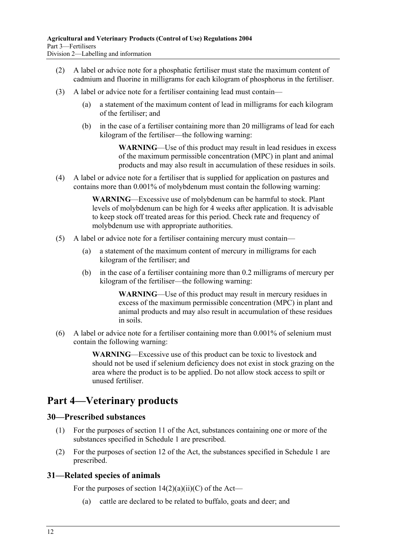- (2) A label or advice note for a phosphatic fertiliser must state the maximum content of cadmium and fluorine in milligrams for each kilogram of phosphorus in the fertiliser.
- (3) A label or advice note for a fertiliser containing lead must contain—
	- (a) a statement of the maximum content of lead in milligrams for each kilogram of the fertiliser; and
	- (b) in the case of a fertiliser containing more than 20 milligrams of lead for each kilogram of the fertiliser—the following warning:

**WARNING**—Use of this product may result in lead residues in excess of the maximum permissible concentration (MPC) in plant and animal products and may also result in accumulation of these residues in soils.

 (4) A label or advice note for a fertiliser that is supplied for application on pastures and contains more than 0.001% of molybdenum must contain the following warning:

> **WARNING**—Excessive use of molybdenum can be harmful to stock. Plant levels of molybdenum can be high for 4 weeks after application. It is advisable to keep stock off treated areas for this period. Check rate and frequency of molybdenum use with appropriate authorities.

- (5) A label or advice note for a fertiliser containing mercury must contain—
	- (a) a statement of the maximum content of mercury in milligrams for each kilogram of the fertiliser; and
	- (b) in the case of a fertiliser containing more than 0.2 milligrams of mercury per kilogram of the fertiliser—the following warning:

**WARNING**—Use of this product may result in mercury residues in excess of the maximum permissible concentration (MPC) in plant and animal products and may also result in accumulation of these residues in soils.

 (6) A label or advice note for a fertiliser containing more than 0.001% of selenium must contain the following warning:

> **WARNING**—Excessive use of this product can be toxic to livestock and should not be used if selenium deficiency does not exist in stock grazing on the area where the product is to be applied. Do not allow stock access to spilt or unused fertiliser.

## **Part 4—Veterinary products**

### **30—Prescribed substances**

- (1) For the purposes of section 11 of the Act, substances containing one or more of the substances specified in Schedule 1 are prescribed.
- (2) For the purposes of section 12 of the Act, the substances specified in Schedule 1 are prescribed.

### **31—Related species of animals**

For the purposes of section  $14(2)(a)(ii)(C)$  of the Act—

(a) cattle are declared to be related to buffalo, goats and deer; and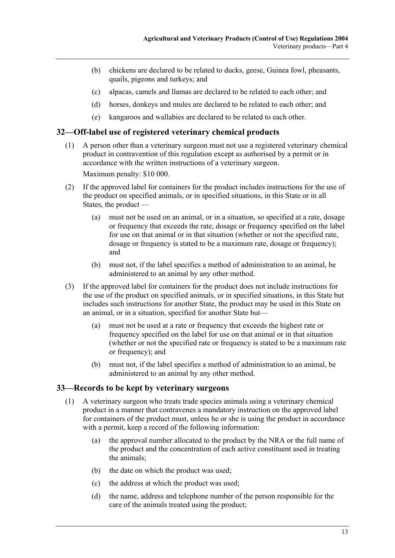- (b) chickens are declared to be related to ducks, geese, Guinea fowl, pheasants, quails, pigeons and turkeys; and
- (c) alpacas, camels and llamas are declared to be related to each other; and
- (d) horses, donkeys and mules are declared to be related to each other; and
- (e) kangaroos and wallabies are declared to be related to each other.

### **32—Off-label use of registered veterinary chemical products**

 (1) A person other than a veterinary surgeon must not use a registered veterinary chemical product in contravention of this regulation except as authorised by a permit or in accordance with the written instructions of a veterinary surgeon.

Maximum penalty: \$10 000.

- (2) If the approved label for containers for the product includes instructions for the use of the product on specified animals, or in specified situations, in this State or in all States, the product —
	- (a) must not be used on an animal, or in a situation, so specified at a rate, dosage or frequency that exceeds the rate, dosage or frequency specified on the label for use on that animal or in that situation (whether or not the specified rate, dosage or frequency is stated to be a maximum rate, dosage or frequency); and
	- (b) must not, if the label specifies a method of administration to an animal, be administered to an animal by any other method.
- (3) If the approved label for containers for the product does not include instructions for the use of the product on specified animals, or in specified situations, in this State but includes such instructions for another State, the product may be used in this State on an animal, or in a situation, specified for another State but—
	- (a) must not be used at a rate or frequency that exceeds the highest rate or frequency specified on the label for use on that animal or in that situation (whether or not the specified rate or frequency is stated to be a maximum rate or frequency); and
	- (b) must not, if the label specifies a method of administration to an animal, be administered to an animal by any other method.

#### **33—Records to be kept by veterinary surgeons**

- (1) A veterinary surgeon who treats trade species animals using a veterinary chemical product in a manner that contravenes a mandatory instruction on the approved label for containers of the product must, unless he or she is using the product in accordance with a permit, keep a record of the following information:
	- (a) the approval number allocated to the product by the NRA or the full name of the product and the concentration of each active constituent used in treating the animals;
	- (b) the date on which the product was used;
	- (c) the address at which the product was used;
	- (d) the name, address and telephone number of the person responsible for the care of the animals treated using the product;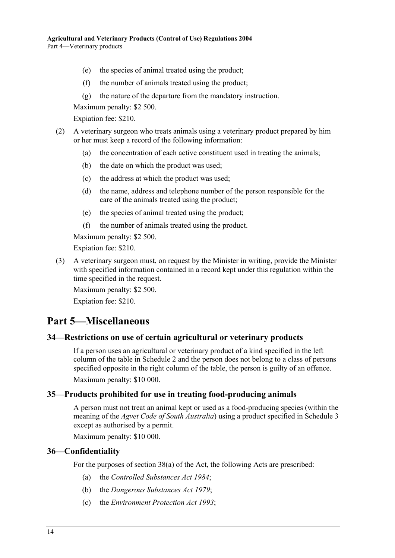- (e) the species of animal treated using the product;
- (f) the number of animals treated using the product;
- (g) the nature of the departure from the mandatory instruction.

Maximum penalty: \$2 500.

Expiation fee: \$210.

- (2) A veterinary surgeon who treats animals using a veterinary product prepared by him or her must keep a record of the following information:
	- (a) the concentration of each active constituent used in treating the animals;
	- (b) the date on which the product was used;
	- (c) the address at which the product was used;
	- (d) the name, address and telephone number of the person responsible for the care of the animals treated using the product;
	- (e) the species of animal treated using the product;
	- (f) the number of animals treated using the product.

Maximum penalty: \$2 500.

Expiation fee: \$210.

 (3) A veterinary surgeon must, on request by the Minister in writing, provide the Minister with specified information contained in a record kept under this regulation within the time specified in the request.

Maximum penalty: \$2 500.

Expiation fee: \$210.

## **Part 5—Miscellaneous**

### **34—Restrictions on use of certain agricultural or veterinary products**

If a person uses an agricultural or veterinary product of a kind specified in the left column of the table in Schedule 2 and the person does not belong to a class of persons specified opposite in the right column of the table, the person is guilty of an offence. Maximum penalty: \$10 000.

#### **35—Products prohibited for use in treating food-producing animals**

A person must not treat an animal kept or used as a food-producing species (within the meaning of the *Agvet Code of South Australia*) using a product specified in Schedule 3 except as authorised by a permit.

Maximum penalty: \$10 000.

#### **36—Confidentiality**

For the purposes of section 38(a) of the Act, the following Acts are prescribed:

- (a) the *Controlled Substances Act 1984*;
- (b) the *Dangerous Substances Act 1979*;
- (c) the *Environment Protection Act 1993*;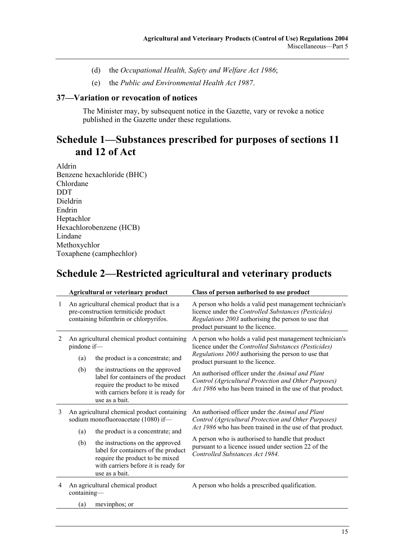- (d) the *Occupational Health, Safety and Welfare Act 1986*;
- (e) the *Public and Environmental Health Act 1987*.

#### **37—Variation or revocation of notices**

The Minister may, by subsequent notice in the Gazette, vary or revoke a notice published in the Gazette under these regulations.

## **Schedule 1—Substances prescribed for purposes of sections 11 and 12 of Act**

Aldrin Benzene hexachloride (BHC) Chlordane **DDT** Dieldrin Endrin Heptachlor Hexachlorobenzene (HCB) Lindane Methoxychlor Toxaphene (camphechlor)

## **Schedule 2—Restricted agricultural and veterinary products**

|                | <b>Agricultural or veterinary product</b>                                                                                    |                                                                                                                                                                                                           | Class of person authorised to use product                                                                                                                                                                  |
|----------------|------------------------------------------------------------------------------------------------------------------------------|-----------------------------------------------------------------------------------------------------------------------------------------------------------------------------------------------------------|------------------------------------------------------------------------------------------------------------------------------------------------------------------------------------------------------------|
| 1              | An agricultural chemical product that is a<br>pre-construction termiticide product<br>containing bifenthrin or chlorpyrifos. |                                                                                                                                                                                                           | A person who holds a valid pest management technician's<br>licence under the Controlled Substances (Pesticides)<br>Regulations 2003 authorising the person to use that<br>product pursuant to the licence. |
| 2              | An agricultural chemical product containing<br>pindone if-<br>the product is a concentrate; and<br>(a)                       |                                                                                                                                                                                                           | A person who holds a valid pest management technician's<br>licence under the Controlled Substances (Pesticides)<br>Regulations 2003 authorising the person to use that<br>product pursuant to the licence. |
|                | (b)                                                                                                                          | the instructions on the approved<br>label for containers of the product<br>require the product to be mixed<br>with carriers before it is ready for<br>use as a bait.                                      | An authorised officer under the <i>Animal and Plant</i><br>Control (Agricultural Protection and Other Purposes)<br>Act 1986 who has been trained in the use of that product.                               |
| 3              | An agricultural chemical product containing<br>sodium monofluoroacetate (1080) if-                                           |                                                                                                                                                                                                           | An authorised officer under the <i>Animal and Plant</i><br>Control (Agricultural Protection and Other Purposes)<br>Act 1986 who has been trained in the use of that product.                               |
|                | (a)<br>(b)                                                                                                                   | the product is a concentrate; and<br>the instructions on the approved<br>label for containers of the product<br>require the product to be mixed<br>with carriers before it is ready for<br>use as a bait. | A person who is authorised to handle that product<br>pursuant to a licence issued under section 22 of the<br>Controlled Substances Act 1984.                                                               |
| $\overline{4}$ | An agricultural chemical product<br>containing-                                                                              |                                                                                                                                                                                                           | A person who holds a prescribed qualification.                                                                                                                                                             |
|                | (a)                                                                                                                          | mevinphos; or                                                                                                                                                                                             |                                                                                                                                                                                                            |
|                |                                                                                                                              |                                                                                                                                                                                                           |                                                                                                                                                                                                            |